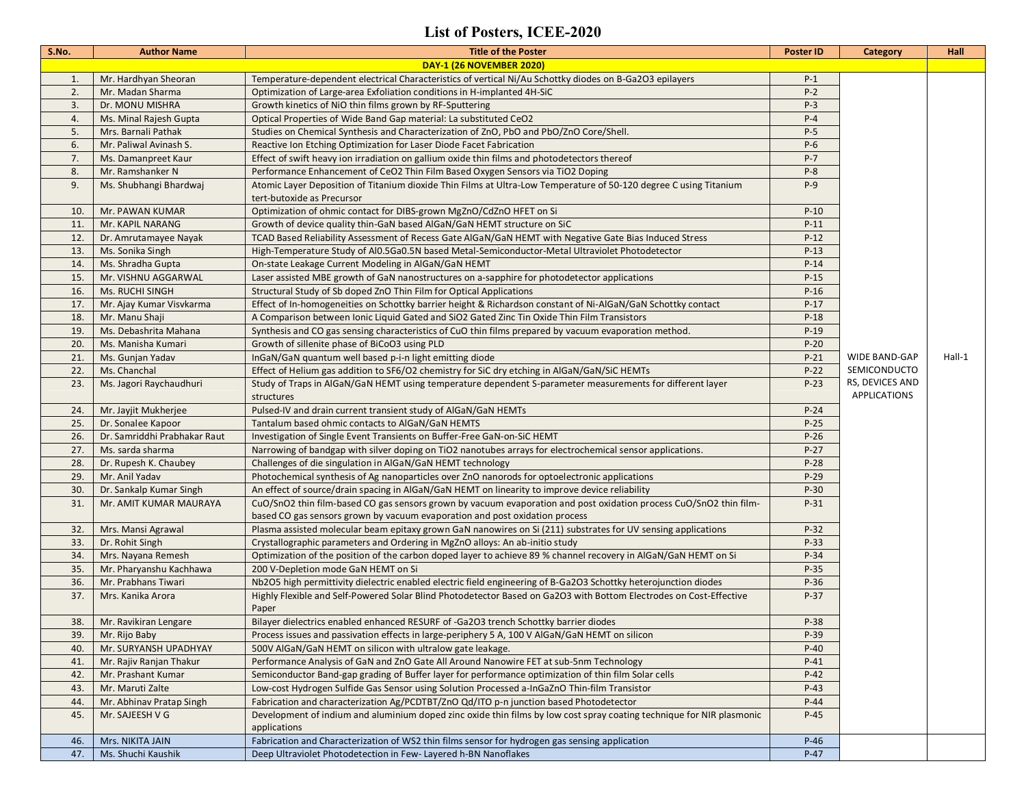## **List of Posters, ICEE-2020**

| S.No. | <b>Author Name</b>              | <b>Title of the Poster</b>                                                                                                                                                                        | <b>Poster ID</b> | <b>Category</b>                        | Hall   |
|-------|---------------------------------|---------------------------------------------------------------------------------------------------------------------------------------------------------------------------------------------------|------------------|----------------------------------------|--------|
|       | <b>DAY-1 (26 NOVEMBER 2020)</b> |                                                                                                                                                                                                   |                  |                                        |        |
| 1.    | Mr. Hardhyan Sheoran            | Temperature-dependent electrical Characteristics of vertical Ni/Au Schottky diodes on B-Ga2O3 epilayers                                                                                           | $P-1$            |                                        |        |
| 2.    | Mr. Madan Sharma                | Optimization of Large-area Exfoliation conditions in H-implanted 4H-SiC                                                                                                                           | $P-2$            |                                        |        |
| 3.    | Dr. MONU MISHRA                 | Growth kinetics of NiO thin films grown by RF-Sputtering                                                                                                                                          | $P-3$            |                                        |        |
| 4.    | Ms. Minal Rajesh Gupta          | Optical Properties of Wide Band Gap material: La substituted CeO2                                                                                                                                 | $P-4$            |                                        |        |
| 5.    | Mrs. Barnali Pathak             | Studies on Chemical Synthesis and Characterization of ZnO, PbO and PbO/ZnO Core/Shell.                                                                                                            | $P-5$            |                                        |        |
| 6.    | Mr. Paliwal Avinash S.          | Reactive Ion Etching Optimization for Laser Diode Facet Fabrication                                                                                                                               | $P-6$            |                                        |        |
| 7.    | Ms. Damanpreet Kaur             | Effect of swift heavy ion irradiation on gallium oxide thin films and photodetectors thereof                                                                                                      | $P - 7$          |                                        |        |
| 8.    | Mr. Ramshanker N                | Performance Enhancement of CeO2 Thin Film Based Oxygen Sensors via TiO2 Doping                                                                                                                    | $P-8$            |                                        |        |
| 9.    | Ms. Shubhangi Bhardwaj          | Atomic Layer Deposition of Titanium dioxide Thin Films at Ultra-Low Temperature of 50-120 degree C using Titanium<br>tert-butoxide as Precursor                                                   | $P-9$            |                                        |        |
| 10.   | Mr. PAWAN KUMAR                 | Optimization of ohmic contact for DIBS-grown MgZnO/CdZnO HFET on Si                                                                                                                               | $P-10$           |                                        |        |
| 11.   | Mr. KAPIL NARANG                | Growth of device quality thin-GaN based AlGaN/GaN HEMT structure on SiC                                                                                                                           | $P-11$           |                                        |        |
| 12.   | Dr. Amrutamayee Nayak           | TCAD Based Reliability Assessment of Recess Gate AlGaN/GaN HEMT with Negative Gate Bias Induced Stress                                                                                            | $P-12$           |                                        |        |
| 13.   | Ms. Sonika Singh                | High-Temperature Study of AI0.5Ga0.5N based Metal-Semiconductor-Metal Ultraviolet Photodetector                                                                                                   | $P-13$           |                                        |        |
| 14.   | Ms. Shradha Gupta               | On-state Leakage Current Modeling in AlGaN/GaN HEMT                                                                                                                                               | $P-14$           |                                        |        |
| 15.   | Mr. VISHNU AGGARWAL             | Laser assisted MBE growth of GaN nanostructures on a-sapphire for photodetector applications                                                                                                      | $P-15$           |                                        |        |
| 16.   | Ms. RUCHI SINGH                 | Structural Study of Sb doped ZnO Thin Film for Optical Applications                                                                                                                               | $P-16$           |                                        |        |
| 17.   | Mr. Ajay Kumar Visvkarma        | Effect of In-homogeneities on Schottky barrier height & Richardson constant of Ni-AlGaN/GaN Schottky contact                                                                                      | $P-17$           |                                        |        |
| 18.   | Mr. Manu Shaji                  | A Comparison between Ionic Liquid Gated and SiO2 Gated Zinc Tin Oxide Thin Film Transistors                                                                                                       | $P-18$           |                                        |        |
| 19.   | Ms. Debashrita Mahana           | Synthesis and CO gas sensing characteristics of CuO thin films prepared by vacuum evaporation method.                                                                                             | $P-19$           |                                        |        |
| 20.   | Ms. Manisha Kumari              | Growth of sillenite phase of BiCoO3 using PLD                                                                                                                                                     | $P-20$           |                                        |        |
| 21.   | Ms. Gunjan Yadav                | InGaN/GaN quantum well based p-i-n light emitting diode                                                                                                                                           | $P-21$           | <b>WIDE BAND-GAP</b>                   | Hall-1 |
| 22.   | Ms. Chanchal                    | Effect of Helium gas addition to SF6/O2 chemistry for SiC dry etching in AlGaN/GaN/SiC HEMTs                                                                                                      | $P-22$           | SEMICONDUCTO                           |        |
| 23.   | Ms. Jagori Raychaudhuri         | Study of Traps in AlGaN/GaN HEMT using temperature dependent S-parameter measurements for different layer<br>structures                                                                           | $P-23$           | RS, DEVICES AND<br><b>APPLICATIONS</b> |        |
| 24.   | Mr. Jayjit Mukherjee            | Pulsed-IV and drain current transient study of AlGaN/GaN HEMTs                                                                                                                                    | $P-24$           |                                        |        |
| 25.   | Dr. Sonalee Kapoor              | Tantalum based ohmic contacts to AlGaN/GaN HEMTS                                                                                                                                                  | $P-25$           |                                        |        |
| 26.   | Dr. Samriddhi Prabhakar Raut    | Investigation of Single Event Transients on Buffer-Free GaN-on-SiC HEMT                                                                                                                           | $P-26$           |                                        |        |
| 27.   | Ms. sarda sharma                | Narrowing of bandgap with silver doping on TiO2 nanotubes arrays for electrochemical sensor applications.                                                                                         | $P-27$           |                                        |        |
| 28.   | Dr. Rupesh K. Chaubey           | Challenges of die singulation in AlGaN/GaN HEMT technology                                                                                                                                        | $P-28$           |                                        |        |
| 29.   | Mr. Anil Yadav                  | Photochemical synthesis of Ag nanoparticles over ZnO nanorods for optoelectronic applications                                                                                                     | $P-29$           |                                        |        |
| 30.   | Dr. Sankalp Kumar Singh         | An effect of source/drain spacing in AlGaN/GaN HEMT on linearity to improve device reliability                                                                                                    | $P-30$           |                                        |        |
| 31.   | Mr. AMIT KUMAR MAURAYA          | CuO/SnO2 thin film-based CO gas sensors grown by vacuum evaporation and post oxidation process CuO/SnO2 thin film-<br>based CO gas sensors grown by vacuum evaporation and post oxidation process | $P-31$           |                                        |        |
| 32.   | Mrs. Mansi Agrawal              | Plasma assisted molecular beam epitaxy grown GaN nanowires on Si (211) substrates for UV sensing applications                                                                                     | $P-32$           |                                        |        |
| 33.   | Dr. Rohit Singh                 | Crystallographic parameters and Ordering in MgZnO alloys: An ab-initio study                                                                                                                      | $P-33$           |                                        |        |
| 34.   | Mrs. Nayana Remesh              | Optimization of the position of the carbon doped layer to achieve 89 % channel recovery in AlGaN/GaN HEMT on Si                                                                                   | $P-34$           |                                        |        |
| 35.   | Mr. Pharyanshu Kachhawa         | 200 V-Depletion mode GaN HEMT on Si                                                                                                                                                               | $P-35$           |                                        |        |
| 36.   | Mr. Prabhans Tiwari             | Nb2O5 high permittivity dielectric enabled electric field engineering of B-Ga2O3 Schottky heterojunction diodes                                                                                   | $P-36$           |                                        |        |
| 37.   | Mrs. Kanika Arora               | Highly Flexible and Self-Powered Solar Blind Photodetector Based on Ga2O3 with Bottom Electrodes on Cost-Effective<br>Paper                                                                       | $P-37$           |                                        |        |
| 38.   | Mr. Ravikiran Lengare           | Bilayer dielectrics enabled enhanced RESURF of -Ga2O3 trench Schottky barrier diodes                                                                                                              | P-38             |                                        |        |
| 39.   | Mr. Rijo Baby                   | Process issues and passivation effects in large-periphery 5 A, 100 V AlGaN/GaN HEMT on silicon                                                                                                    | $P-39$           |                                        |        |
| 40.   | Mr. SURYANSH UPADHYAY           | 500V AlGaN/GaN HEMT on silicon with ultralow gate leakage.                                                                                                                                        | $P-40$           |                                        |        |
| 41.   | Mr. Rajiv Ranjan Thakur         | Performance Analysis of GaN and ZnO Gate All Around Nanowire FET at sub-5nm Technology                                                                                                            | $P-41$           |                                        |        |
| 42.   | Mr. Prashant Kumar              | Semiconductor Band-gap grading of Buffer layer for performance optimization of thin film Solar cells                                                                                              | $P-42$           |                                        |        |
| 43.   | Mr. Maruti Zalte                | Low-cost Hydrogen Sulfide Gas Sensor using Solution Processed a-InGaZnO Thin-film Transistor                                                                                                      | $P-43$           |                                        |        |
| 44.   | Mr. Abhinav Pratap Singh        | Fabrication and characterization Ag/PCDTBT/ZnO Qd/ITO p-n junction based Photodetector                                                                                                            | $P-44$           |                                        |        |
| 45.   | Mr. SAJEESH V G                 | Development of indium and aluminium doped zinc oxide thin films by low cost spray coating technique for NIR plasmonic<br>applications                                                             | $P-45$           |                                        |        |
| 46.   | Mrs. NIKITA JAIN                | Fabrication and Characterization of WS2 thin films sensor for hydrogen gas sensing application                                                                                                    | $P-46$           |                                        |        |
| 47.   | Ms. Shuchi Kaushik              | Deep Ultraviolet Photodetection in Few-Layered h-BN Nanoflakes                                                                                                                                    | $P-47$           |                                        |        |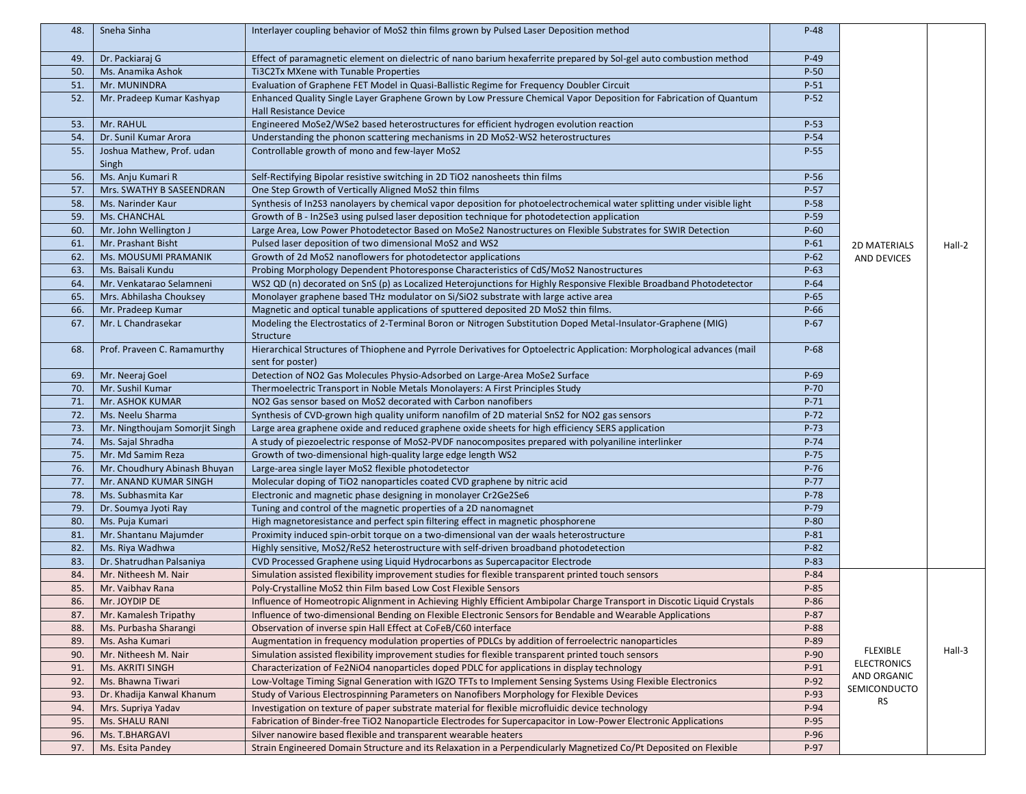| 48. | Sneha Sinha                        | Interlayer coupling behavior of MoS2 thin films grown by Pulsed Laser Deposition method                                                     | $P-48$ |                           |        |
|-----|------------------------------------|---------------------------------------------------------------------------------------------------------------------------------------------|--------|---------------------------|--------|
| 49. | Dr. Packiaraj G                    | Effect of paramagnetic element on dielectric of nano barium hexaferrite prepared by Sol-gel auto combustion method                          | $P-49$ |                           |        |
| 50. | Ms. Anamika Ashok                  | Ti3C2Tx MXene with Tunable Properties                                                                                                       | $P-50$ |                           |        |
| 51. | Mr. MUNINDRA                       | Evaluation of Graphene FET Model in Quasi-Ballistic Regime for Frequency Doubler Circuit                                                    | $P-51$ |                           |        |
| 52. | Mr. Pradeep Kumar Kashyap          | Enhanced Quality Single Layer Graphene Grown by Low Pressure Chemical Vapor Deposition for Fabrication of Quantum<br>Hall Resistance Device | $P-52$ |                           |        |
| 53. | Mr. RAHUL                          | Engineered MoSe2/WSe2 based heterostructures for efficient hydrogen evolution reaction                                                      | $P-53$ |                           |        |
| 54. | Dr. Sunil Kumar Arora              | Understanding the phonon scattering mechanisms in 2D MoS2-WS2 heterostructures                                                              | $P-54$ |                           |        |
| 55. | Joshua Mathew, Prof. udan<br>Singh | Controllable growth of mono and few-layer MoS2                                                                                              | $P-55$ |                           |        |
| 56. | Ms. Anju Kumari R                  | Self-Rectifying Bipolar resistive switching in 2D TiO2 nanosheets thin films                                                                | $P-56$ |                           |        |
| 57. | Mrs. SWATHY B SASEENDRAN           | One Step Growth of Vertically Aligned MoS2 thin films                                                                                       | $P-57$ |                           |        |
| 58. | Ms. Narinder Kaur                  | Synthesis of In2S3 nanolayers by chemical vapor deposition for photoelectrochemical water splitting under visible light                     | $P-58$ |                           |        |
| 59. | Ms. CHANCHAL                       | Growth of B - In2Se3 using pulsed laser deposition technique for photodetection application                                                 | $P-59$ |                           |        |
| 60. | Mr. John Wellington J              | Large Area, Low Power Photodetector Based on MoSe2 Nanostructures on Flexible Substrates for SWIR Detection                                 | $P-60$ |                           |        |
| 61. | Mr. Prashant Bisht                 | Pulsed laser deposition of two dimensional MoS2 and WS2                                                                                     | $P-61$ | <b>2D MATERIALS</b>       | Hall-2 |
| 62. | Ms. MOUSUMI PRAMANIK               | Growth of 2d MoS2 nanoflowers for photodetector applications                                                                                | $P-62$ | <b>AND DEVICES</b>        |        |
| 63. | Ms. Baisali Kundu                  | Probing Morphology Dependent Photoresponse Characteristics of CdS/MoS2 Nanostructures                                                       | $P-63$ |                           |        |
| 64. | Mr. Venkatarao Selamneni           | WS2 QD (n) decorated on SnS (p) as Localized Heterojunctions for Highly Responsive Flexible Broadband Photodetector                         | $P-64$ |                           |        |
| 65. | Mrs. Abhilasha Chouksey            | Monolayer graphene based THz modulator on Si/SiO2 substrate with large active area                                                          | $P-65$ |                           |        |
| 66. | Mr. Pradeep Kumar                  | Magnetic and optical tunable applications of sputtered deposited 2D MoS2 thin films.                                                        | P-66   |                           |        |
| 67. | Mr. L Chandrasekar                 | Modeling the Electrostatics of 2-Terminal Boron or Nitrogen Substitution Doped Metal-Insulator-Graphene (MIG)<br>Structure                  | $P-67$ |                           |        |
| 68. | Prof. Praveen C. Ramamurthy        | Hierarchical Structures of Thiophene and Pyrrole Derivatives for Optoelectric Application: Morphological advances (mail<br>sent for poster) | $P-68$ |                           |        |
| 69. | Mr. Neeraj Goel                    | Detection of NO2 Gas Molecules Physio-Adsorbed on Large-Area MoSe2 Surface                                                                  | $P-69$ |                           |        |
| 70. | Mr. Sushil Kumar                   | Thermoelectric Transport in Noble Metals Monolayers: A First Principles Study                                                               | $P-70$ |                           |        |
| 71. | Mr. ASHOK KUMAR                    | NO2 Gas sensor based on MoS2 decorated with Carbon nanofibers                                                                               | $P-71$ |                           |        |
| 72. | Ms. Neelu Sharma                   | Synthesis of CVD-grown high quality uniform nanofilm of 2D material SnS2 for NO2 gas sensors                                                | $P-72$ |                           |        |
| 73. | Mr. Ningthoujam Somorjit Singh     | Large area graphene oxide and reduced graphene oxide sheets for high efficiency SERS application                                            | $P-73$ |                           |        |
| 74. | Ms. Sajal Shradha                  | A study of piezoelectric response of MoS2-PVDF nanocomposites prepared with polyaniline interlinker                                         | $P-74$ |                           |        |
| 75. | Mr. Md Samim Reza                  | Growth of two-dimensional high-quality large edge length WS2                                                                                | $P-75$ |                           |        |
| 76. | Mr. Choudhury Abinash Bhuyan       | Large-area single layer MoS2 flexible photodetector                                                                                         | $P-76$ |                           |        |
| 77. | Mr. ANAND KUMAR SINGH              | Molecular doping of TiO2 nanoparticles coated CVD graphene by nitric acid                                                                   | $P-77$ |                           |        |
| 78. | Ms. Subhasmita Kar                 | Electronic and magnetic phase designing in monolayer Cr2Ge2Se6                                                                              | $P-78$ |                           |        |
| 79. | Dr. Soumya Jyoti Ray               | Tuning and control of the magnetic properties of a 2D nanomagnet                                                                            | $P-79$ |                           |        |
| 80. | Ms. Puja Kumari                    | High magnetoresistance and perfect spin filtering effect in magnetic phosphorene                                                            | $P-80$ |                           |        |
| 81. | Mr. Shantanu Majumder              | Proximity induced spin-orbit torque on a two-dimensional van der waals heterostructure                                                      | $P-81$ |                           |        |
| 82. | Ms. Riya Wadhwa                    | Highly sensitive, MoS2/ReS2 heterostructure with self-driven broadband photodetection                                                       | $P-82$ |                           |        |
| 83. | Dr. Shatrudhan Palsaniya           | CVD Processed Graphene using Liquid Hydrocarbons as Supercapacitor Electrode                                                                | $P-83$ |                           |        |
| 84. | Mr. Nitheesh M. Nair               | Simulation assisted flexibility improvement studies for flexible transparent printed touch sensors                                          | P-84   |                           |        |
| 85. | Mr. Vaibhav Rana                   | Poly-Crystalline MoS2 thin Film based Low Cost Flexible Sensors                                                                             | $P-85$ |                           |        |
| 86. | Mr. JOYDIP DE                      | Influence of Homeotropic Alignment in Achieving Highly Efficient Ambipolar Charge Transport in Discotic Liquid Crystals                     | $P-86$ |                           |        |
| 87. | Mr. Kamalesh Tripathy              | Influence of two-dimensional Bending on Flexible Electronic Sensors for Bendable and Wearable Applications                                  | $P-87$ |                           |        |
| 88. | Ms. Purbasha Sharangi              | Observation of inverse spin Hall Effect at CoFeB/C60 interface                                                                              | $P-88$ |                           |        |
| 89. | Ms. Asha Kumari                    | Augmentation in frequency modulation properties of PDLCs by addition of ferroelectric nanoparticles                                         | P-89   |                           |        |
| 90. | Mr. Nitheesh M. Nair               | Simulation assisted flexibility improvement studies for flexible transparent printed touch sensors                                          | $P-90$ | FLEXIBLE                  | Hall-3 |
| 91. | Ms. AKRITI SINGH                   | Characterization of Fe2NiO4 nanoparticles doped PDLC for applications in display technology                                                 | $P-91$ | <b>ELECTRONICS</b>        |        |
| 92. | Ms. Bhawna Tiwari                  | Low-Voltage Timing Signal Generation with IGZO TFTs to Implement Sensing Systems Using Flexible Electronics                                 | P-92   | AND ORGANIC               |        |
| 93. | Dr. Khadija Kanwal Khanum          | Study of Various Electrospinning Parameters on Nanofibers Morphology for Flexible Devices                                                   | $P-93$ | SEMICONDUCTO<br><b>RS</b> |        |
| 94. | Mrs. Supriya Yadav                 | Investigation on texture of paper substrate material for flexible microfluidic device technology                                            | P-94   |                           |        |
| 95. | Ms. SHALU RANI                     | Fabrication of Binder-free TiO2 Nanoparticle Electrodes for Supercapacitor in Low-Power Electronic Applications                             | P-95   |                           |        |
| 96. | Ms. T.BHARGAVI                     | Silver nanowire based flexible and transparent wearable heaters                                                                             | $P-96$ |                           |        |
| 97. | Ms. Esita Pandey                   | Strain Engineered Domain Structure and its Relaxation in a Perpendicularly Magnetized Co/Pt Deposited on Flexible                           | P-97   |                           |        |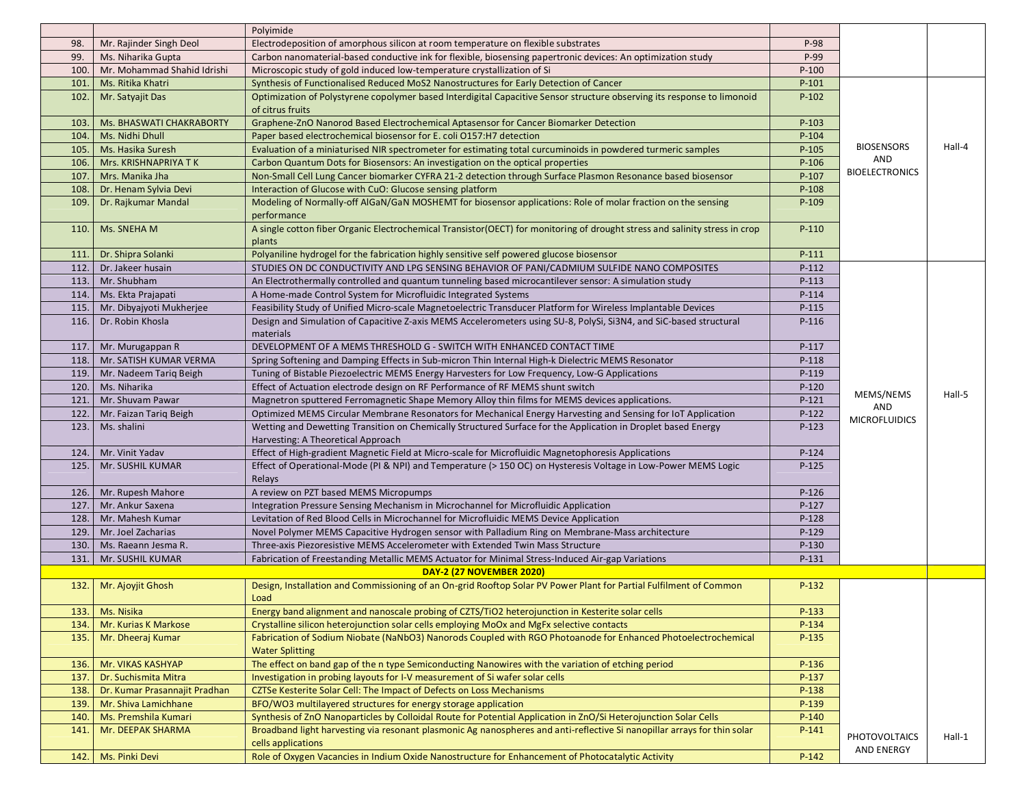|      |                               | Polyimide                                                                                                                                           |         |                       |        |
|------|-------------------------------|-----------------------------------------------------------------------------------------------------------------------------------------------------|---------|-----------------------|--------|
| 98.  | Mr. Rajinder Singh Deol       | Electrodeposition of amorphous silicon at room temperature on flexible substrates                                                                   | P-98    |                       |        |
| 99.  | Ms. Niharika Gupta            | Carbon nanomaterial-based conductive ink for flexible, biosensing papertronic devices: An optimization study                                        | P-99    |                       |        |
| 100. | Mr. Mohammad Shahid Idrishi   | Microscopic study of gold induced low-temperature crystallization of Si                                                                             | $P-100$ |                       |        |
| 101. | Ms. Ritika Khatri             | Synthesis of Functionalised Reduced MoS2 Nanostructures for Early Detection of Cancer                                                               | $P-101$ |                       |        |
| 102. | Mr. Satyajit Das              | Optimization of Polystyrene copolymer based Interdigital Capacitive Sensor structure observing its response to limonoid<br>of citrus fruits         | $P-102$ |                       |        |
| 103. | Ms. BHASWATI CHAKRABORTY      | Graphene-ZnO Nanorod Based Electrochemical Aptasensor for Cancer Biomarker Detection                                                                | $P-103$ |                       |        |
| 104. | Ms. Nidhi Dhull               | Paper based electrochemical biosensor for E. coli O157:H7 detection                                                                                 | $P-104$ |                       |        |
| 105. | Ms. Hasika Suresh             | Evaluation of a miniaturised NIR spectrometer for estimating total curcuminoids in powdered turmeric samples                                        | $P-105$ | <b>BIOSENSORS</b>     | Hall-4 |
| 106. | Mrs. KRISHNAPRIYA TK          | Carbon Quantum Dots for Biosensors: An investigation on the optical properties                                                                      | $P-106$ | AND                   |        |
| 107. | Mrs. Manika Jha               | Non-Small Cell Lung Cancer biomarker CYFRA 21-2 detection through Surface Plasmon Resonance based biosensor                                         | $P-107$ | <b>BIOELECTRONICS</b> |        |
| 108. | Dr. Henam Sylvia Devi         | Interaction of Glucose with CuO: Glucose sensing platform                                                                                           | $P-108$ |                       |        |
| 109. | Dr. Rajkumar Mandal           | Modeling of Normally-off AlGaN/GaN MOSHEMT for biosensor applications: Role of molar fraction on the sensing<br>performance                         | $P-109$ |                       |        |
| 110. | Ms. SNEHA M                   | A single cotton fiber Organic Electrochemical Transistor(OECT) for monitoring of drought stress and salinity stress in crop<br>plants               | $P-110$ |                       |        |
| 111. | Dr. Shipra Solanki            | Polyaniline hydrogel for the fabrication highly sensitive self powered glucose biosensor                                                            | $P-111$ |                       |        |
| 112. | Dr. Jakeer husain             | STUDIES ON DC CONDUCTIVITY AND LPG SENSING BEHAVIOR OF PANI/CADMIUM SULFIDE NANO COMPOSITES                                                         | $P-112$ |                       |        |
| 113. | Mr. Shubham                   | An Electrothermally controlled and quantum tunneling based microcantilever sensor: A simulation study                                               | $P-113$ |                       |        |
| 114. | Ms. Ekta Prajapati            | A Home-made Control System for Microfluidic Integrated Systems                                                                                      | $P-114$ |                       |        |
| 115. | Mr. Dibyajyoti Mukherjee      | Feasibility Study of Unified Micro-scale Magnetoelectric Transducer Platform for Wireless Implantable Devices                                       | $P-115$ |                       |        |
| 116. | Dr. Robin Khosla              | Design and Simulation of Capacitive Z-axis MEMS Accelerometers using SU-8, PolySi, Si3N4, and SiC-based structural                                  | $P-116$ |                       |        |
|      |                               | materials                                                                                                                                           |         |                       |        |
| 117. | Mr. Murugappan R              | DEVELOPMENT OF A MEMS THRESHOLD G - SWITCH WITH ENHANCED CONTACT TIME                                                                               | $P-117$ |                       |        |
| 118. | Mr. SATISH KUMAR VERMA        | Spring Softening and Damping Effects in Sub-micron Thin Internal High-k Dielectric MEMS Resonator                                                   | $P-118$ |                       |        |
| 119. | Mr. Nadeem Tariq Beigh        | Tuning of Bistable Piezoelectric MEMS Energy Harvesters for Low Frequency, Low-G Applications                                                       | $P-119$ |                       |        |
| 120. | Ms. Niharika                  | Effect of Actuation electrode design on RF Performance of RF MEMS shunt switch                                                                      | $P-120$ | MEMS/NEMS             | Hall-5 |
| 121. | Mr. Shuvam Pawar              | Magnetron sputtered Ferromagnetic Shape Memory Alloy thin films for MEMS devices applications.                                                      | $P-121$ | AND                   |        |
| 122. | Mr. Faizan Tariq Beigh        | Optimized MEMS Circular Membrane Resonators for Mechanical Energy Harvesting and Sensing for IoT Application                                        | $P-122$ | <b>MICROFLUIDICS</b>  |        |
| 123. | Ms. shalini                   | Wetting and Dewetting Transition on Chemically Structured Surface for the Application in Droplet based Energy<br>Harvesting: A Theoretical Approach | $P-123$ |                       |        |
| 124. | Mr. Vinit Yadav               | Effect of High-gradient Magnetic Field at Micro-scale for Microfluidic Magnetophoresis Applications                                                 | $P-124$ |                       |        |
| 125. | Mr. SUSHIL KUMAR              | Effect of Operational-Mode (PI & NPI) and Temperature (> 150 OC) on Hysteresis Voltage in Low-Power MEMS Logic<br>Relays                            | $P-125$ |                       |        |
| 126. | Mr. Rupesh Mahore             | A review on PZT based MEMS Micropumps                                                                                                               | $P-126$ |                       |        |
| 127. | Mr. Ankur Saxena              | Integration Pressure Sensing Mechanism in Microchannel for Microfluidic Application                                                                 | $P-127$ |                       |        |
| 128. | Mr. Mahesh Kumar              | Levitation of Red Blood Cells in Microchannel for Microfluidic MEMS Device Application                                                              | $P-128$ |                       |        |
| 129. | Mr. Joel Zacharias            | Novel Polymer MEMS Capacitive Hydrogen sensor with Palladium Ring on Membrane-Mass architecture                                                     | $P-129$ |                       |        |
| 130. | Ms. Raeann Jesma R.           | Three-axis Piezoresistive MEMS Accelerometer with Extended Twin Mass Structure                                                                      | $P-130$ |                       |        |
| 131. | Mr. SUSHIL KUMAR              | Fabrication of Freestanding Metallic MEMS Actuator for Minimal Stress-Induced Air-gap Variations                                                    | P-131   |                       |        |
|      |                               | <b>DAY-2 (27 NOVEMBER 2020)</b>                                                                                                                     |         |                       |        |
| 132. | Mr. Ajoyjit Ghosh             | Design, Installation and Commissioning of an On-grid Rooftop Solar PV Power Plant for Partial Fulfilment of Common<br>Load                          | $P-132$ |                       |        |
| 133. | Ms. Nisika                    | Energy band alignment and nanoscale probing of CZTS/TiO2 heterojunction in Kesterite solar cells                                                    | $P-133$ |                       |        |
| 134. | Mr. Kurias K Markose          | Crystalline silicon heterojunction solar cells employing MoOx and MgFx selective contacts                                                           | P-134   |                       |        |
| 135. | Mr. Dheeraj Kumar             | Fabrication of Sodium Niobate (NaNbO3) Nanorods Coupled with RGO Photoanode for Enhanced Photoelectrochemical<br><b>Water Splitting</b>             | $P-135$ |                       |        |
| 136. | Mr. VIKAS KASHYAP             | The effect on band gap of the n type Semiconducting Nanowires with the variation of etching period                                                  | $P-136$ |                       |        |
| 137. | Dr. Suchismita Mitra          | Investigation in probing layouts for I-V measurement of Si wafer solar cells                                                                        | $P-137$ |                       |        |
| 138. | Dr. Kumar Prasannajit Pradhan | CZTSe Kesterite Solar Cell: The Impact of Defects on Loss Mechanisms                                                                                | $P-138$ |                       |        |
| 139. | Mr. Shiva Lamichhane          | BFO/WO3 multilayered structures for energy storage application                                                                                      | $P-139$ |                       |        |
| 140. | Ms. Premshila Kumari          | Synthesis of ZnO Nanoparticles by Colloidal Route for Potential Application in ZnO/Si Heterojunction Solar Cells                                    | $P-140$ |                       |        |
| 141. | Mr. DEEPAK SHARMA             | Broadband light harvesting via resonant plasmonic Ag nanospheres and anti-reflective Si nanopillar arrays for thin solar                            | $P-141$ | <b>PHOTOVOLTAICS</b>  | Hall-1 |
|      |                               | cells applications                                                                                                                                  |         | AND ENERGY            |        |
| 142. | Ms. Pinki Devi                | Role of Oxygen Vacancies in Indium Oxide Nanostructure for Enhancement of Photocatalytic Activity                                                   | $P-142$ |                       |        |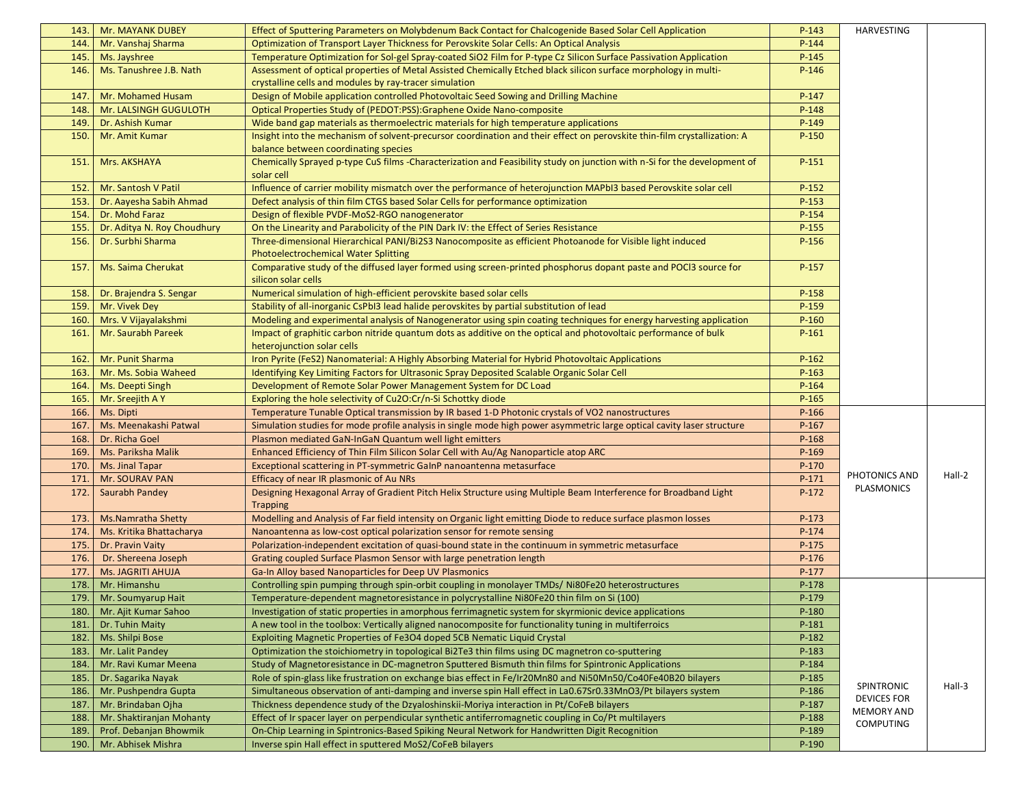| 143. | <b>Mr. MAYANK DUBEY</b>     | Effect of Sputtering Parameters on Molybdenum Back Contact for Chalcogenide Based Solar Cell Application                                                 | $P-143$ | HARVESTING         |        |
|------|-----------------------------|----------------------------------------------------------------------------------------------------------------------------------------------------------|---------|--------------------|--------|
| 144. | Mr. Vanshaj Sharma          | Optimization of Transport Layer Thickness for Perovskite Solar Cells: An Optical Analysis                                                                | $P-144$ |                    |        |
| 145. | Ms. Jayshree                | Temperature Optimization for Sol-gel Spray-coated SiO2 Film for P-type Cz Silicon Surface Passivation Application                                        | $P-145$ |                    |        |
| 146. | Ms. Tanushree J.B. Nath     | Assessment of optical properties of Metal Assisted Chemically Etched black silicon surface morphology in multi-                                          | $P-146$ |                    |        |
|      |                             | crystalline cells and modules by ray-tracer simulation                                                                                                   |         |                    |        |
| 147. | Mr. Mohamed Husam           | Design of Mobile application controlled Photovoltaic Seed Sowing and Drilling Machine                                                                    | $P-147$ |                    |        |
| 148. | Mr. LALSINGH GUGULOTH       | Optical Properties Study of (PEDOT:PSS):Graphene Oxide Nano-composite                                                                                    | $P-148$ |                    |        |
| 149. | Dr. Ashish Kumar            | Wide band gap materials as thermoelectric materials for high temperature applications                                                                    | $P-149$ |                    |        |
| 150. | Mr. Amit Kumar              | Insight into the mechanism of solvent-precursor coordination and their effect on perovskite thin-film crystallization: A                                 | $P-150$ |                    |        |
|      |                             | balance between coordinating species                                                                                                                     |         |                    |        |
| 151. | Mrs. AKSHAYA                | Chemically Sprayed p-type CuS films -Characterization and Feasibility study on junction with n-Si for the development of<br>solar cell                   | $P-151$ |                    |        |
| 152. | Mr. Santosh V Patil         | Influence of carrier mobility mismatch over the performance of heterojunction MAPbI3 based Perovskite solar cell                                         | $P-152$ |                    |        |
| 153. | Dr. Aayesha Sabih Ahmad     | Defect analysis of thin film CTGS based Solar Cells for performance optimization                                                                         | $P-153$ |                    |        |
| 154. | Dr. Mohd Faraz              | Design of flexible PVDF-MoS2-RGO nanogenerator                                                                                                           | P-154   |                    |        |
| 155. | Dr. Aditya N. Roy Choudhury | On the Linearity and Parabolicity of the PIN Dark IV: the Effect of Series Resistance                                                                    | $P-155$ |                    |        |
| 156. | Dr. Surbhi Sharma           | Three-dimensional Hierarchical PANI/Bi2S3 Nanocomposite as efficient Photoanode for Visible light induced<br><b>Photoelectrochemical Water Splitting</b> | $P-156$ |                    |        |
| 157. | Ms. Saima Cherukat          | Comparative study of the diffused layer formed using screen-printed phosphorus dopant paste and POCI3 source for<br>silicon solar cells                  | $P-157$ |                    |        |
| 158. | Dr. Brajendra S. Sengar     | Numerical simulation of high-efficient perovskite based solar cells                                                                                      | P-158   |                    |        |
| 159. | Mr. Vivek Dey               | Stability of all-inorganic CsPbI3 lead halide perovskites by partial substitution of lead                                                                | $P-159$ |                    |        |
| 160. | Mrs. V Vijayalakshmi        | Modeling and experimental analysis of Nanogenerator using spin coating techniques for energy harvesting application                                      | $P-160$ |                    |        |
| 161  | Mr. Saurabh Pareek          | Impact of graphitic carbon nitride quantum dots as additive on the optical and photovoltaic performance of bulk<br>heterojunction solar cells            | $P-161$ |                    |        |
| 162. | Mr. Punit Sharma            | Iron Pyrite (FeS2) Nanomaterial: A Highly Absorbing Material for Hybrid Photovoltaic Applications                                                        | $P-162$ |                    |        |
| 163. | Mr. Ms. Sobia Waheed        | Identifying Key Limiting Factors for Ultrasonic Spray Deposited Scalable Organic Solar Cell                                                              | $P-163$ |                    |        |
| 164. | Ms. Deepti Singh            | Development of Remote Solar Power Management System for DC Load                                                                                          | $P-164$ |                    |        |
| 165. | Mr. Sreejith A Y            | Exploring the hole selectivity of Cu2O:Cr/n-Si Schottky diode                                                                                            | $P-165$ |                    |        |
| 166. | Ms. Dipti                   | Temperature Tunable Optical transmission by IR based 1-D Photonic crystals of VO2 nanostructures                                                         | $P-166$ |                    |        |
| 167. | Ms. Meenakashi Patwal       | Simulation studies for mode profile analysis in single mode high power asymmetric large optical cavity laser structure                                   | $P-167$ |                    |        |
| 168. | Dr. Richa Goel              | Plasmon mediated GaN-InGaN Quantum well light emitters                                                                                                   | $P-168$ |                    |        |
| 169. | Ms. Pariksha Malik          | Enhanced Efficiency of Thin Film Silicon Solar Cell with Au/Ag Nanoparticle atop ARC                                                                     | $P-169$ |                    |        |
| 170. | Ms. Jinal Tapar             | Exceptional scattering in PT-symmetric GaInP nanoantenna metasurface                                                                                     | $P-170$ |                    |        |
| 171  | Mr. SOURAV PAN              | Efficacy of near IR plasmonic of Au NRs                                                                                                                  | P-171   | PHOTONICS AND      | Hall-2 |
| 172  | Saurabh Pandey              | Designing Hexagonal Array of Gradient Pitch Helix Structure using Multiple Beam Interference for Broadband Light<br><b>Trapping</b>                      | $P-172$ | PLASMONICS         |        |
| 173. | Ms. Namratha Shetty         | Modelling and Analysis of Far field intensity on Organic light emitting Diode to reduce surface plasmon losses                                           | $P-173$ |                    |        |
| 174. | Ms. Kritika Bhattacharya    | Nanoantenna as low-cost optical polarization sensor for remote sensing                                                                                   | $P-174$ |                    |        |
| 175. | Dr. Pravin Vaity            | Polarization-independent excitation of quasi-bound state in the continuum in symmetric metasurface                                                       | $P-175$ |                    |        |
| 176. | Dr. Shereena Joseph         | Grating coupled Surface Plasmon Sensor with large penetration length                                                                                     | $P-176$ |                    |        |
| 177. | <b>Ms. JAGRITI AHUJA</b>    | Ga-In Alloy based Nanoparticles for Deep UV Plasmonics                                                                                                   | $P-177$ |                    |        |
| 178  | Mr. Himanshu                | Controlling spin pumping through spin-orbit coupling in monolayer TMDs/ Ni80Fe20 heterostructures                                                        | $P-178$ |                    |        |
| 179. | Mr. Soumyarup Hait          | Temperature-dependent magnetoresistance in polycrystalline Ni80Fe20 thin film on Si (100)                                                                | $P-179$ |                    |        |
| 180. | Mr. Ajit Kumar Sahoo        | Investigation of static properties in amorphous ferrimagnetic system for skyrmionic device applications                                                  | $P-180$ |                    |        |
| 181  | Dr. Tuhin Maity             | A new tool in the toolbox: Vertically aligned nanocomposite for functionality tuning in multiferroics                                                    | P-181   |                    |        |
| 182. | Ms. Shilpi Bose             | Exploiting Magnetic Properties of Fe3O4 doped 5CB Nematic Liquid Crystal                                                                                 | P-182   |                    |        |
| 183. | Mr. Lalit Pandey            | Optimization the stoichiometry in topological Bi2Te3 thin films using DC magnetron co-sputtering                                                         | $P-183$ |                    |        |
| 184. | Mr. Ravi Kumar Meena        | Study of Magnetoresistance in DC-magnetron Sputtered Bismuth thin films for Spintronic Applications                                                      | P-184   |                    |        |
| 185. | Dr. Sagarika Nayak          | Role of spin-glass like frustration on exchange bias effect in Fe/Ir20Mn80 and Ni50Mn50/Co40Fe40B20 bilayers                                             | $P-185$ | SPINTRONIC         | Hall-3 |
| 186. | Mr. Pushpendra Gupta        | Simultaneous observation of anti-damping and inverse spin Hall effect in La0.67Sr0.33MnO3/Pt bilayers system                                             | $P-186$ | <b>DEVICES FOR</b> |        |
| 187  | Mr. Brindaban Ojha          | Thickness dependence study of the Dzyaloshinskii-Moriya interaction in Pt/CoFeB bilayers                                                                 | P-187   | <b>MEMORY AND</b>  |        |
| 188  | Mr. Shaktiranjan Mohanty    | Effect of Ir spacer layer on perpendicular synthetic antiferromagnetic coupling in Co/Pt multilayers                                                     | $P-188$ | <b>COMPUTING</b>   |        |
| 189  | Prof. Debanjan Bhowmik      | On-Chip Learning in Spintronics-Based Spiking Neural Network for Handwritten Digit Recognition                                                           | P-189   |                    |        |
| 190. | Mr. Abhisek Mishra          | Inverse spin Hall effect in sputtered MoS2/CoFeB bilayers                                                                                                | $P-190$ |                    |        |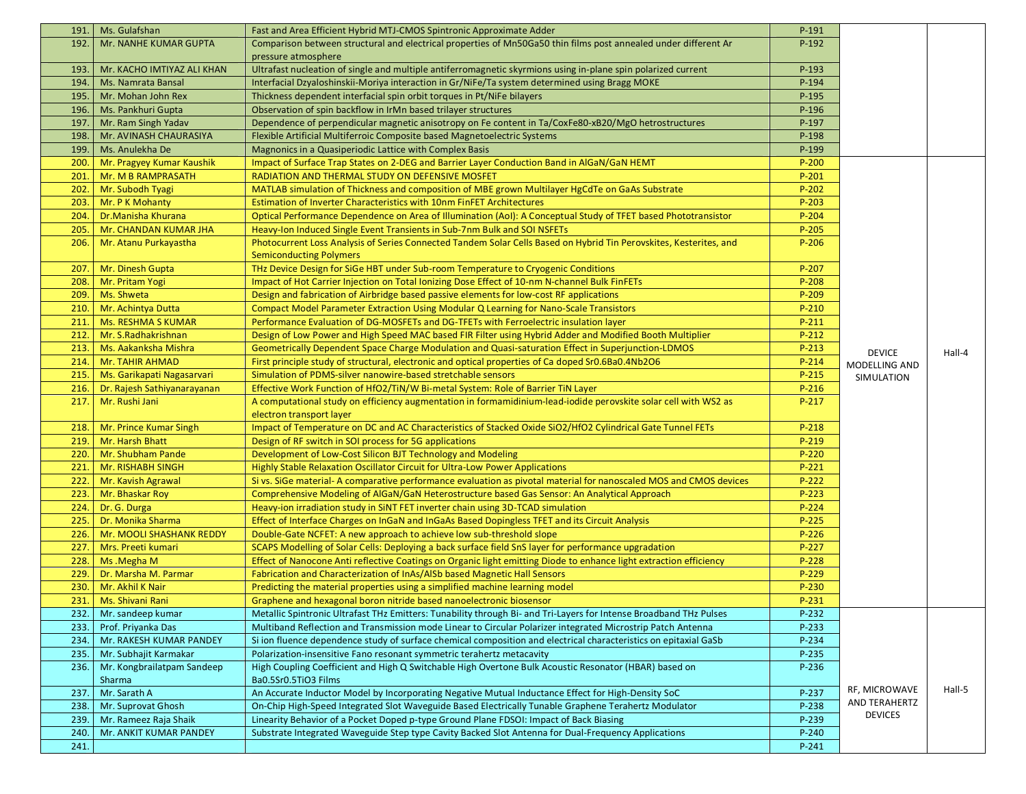| 191. | Ms. Gulafshan               | Fast and Area Efficient Hybrid MTJ-CMOS Spintronic Approximate Adder                                                                        | P-191     |                |        |
|------|-----------------------------|---------------------------------------------------------------------------------------------------------------------------------------------|-----------|----------------|--------|
| 192. | Mr. NANHE KUMAR GUPTA       | Comparison between structural and electrical properties of Mn50Ga50 thin films post annealed under different Ar                             | $P-192$   |                |        |
|      |                             | pressure atmosphere                                                                                                                         |           |                |        |
| 193. | Mr. KACHO IMTIYAZ ALI KHAN  | Ultrafast nucleation of single and multiple antiferromagnetic skyrmions using in-plane spin polarized current                               | P-193     |                |        |
| 194. | Ms. Namrata Bansal          | Interfacial Dzyaloshinskii-Moriya interaction in Gr/NiFe/Ta system determined using Bragg MOKE                                              | $P-194$   |                |        |
| 195. | Mr. Mohan John Rex          | Thickness dependent interfacial spin orbit torques in Pt/NiFe bilayers                                                                      | $P-195$   |                |        |
| 196. | Ms. Pankhuri Gupta          | Observation of spin backflow in IrMn based trilayer structures                                                                              | $P-196$   |                |        |
| 197. | Mr. Ram Singh Yadav         | Dependence of perpendicular magnetic anisotropy on Fe content in Ta/CoxFe80-xB20/MgO hetrostructures                                        | P-197     |                |        |
| 198. | Mr. AVINASH CHAURASIYA      | Flexible Artificial Multiferroic Composite based Magnetoelectric Systems                                                                    | P-198     |                |        |
| 199. | Ms. Anulekha De             | Magnonics in a Quasiperiodic Lattice with Complex Basis                                                                                     | P-199     |                |        |
| 200. | Mr. Pragyey Kumar Kaushik   | Impact of Surface Trap States on 2-DEG and Barrier Layer Conduction Band in AlGaN/GaN HEMT                                                  | $P-200$   |                |        |
| 201  | Mr. M B RAMPRASATH          | RADIATION AND THERMAL STUDY ON DEFENSIVE MOSFET                                                                                             | $P-201$   |                |        |
| 202. | Mr. Subodh Tyagi            | MATLAB simulation of Thickness and composition of MBE grown Multilayer HgCdTe on GaAs Substrate                                             | $P-202$   |                |        |
| 203. | Mr. P K Mohanty             | Estimation of Inverter Characteristics with 10nm FinFET Architectures                                                                       | $P-203$   |                |        |
| 204. | Dr.Manisha Khurana          | Optical Performance Dependence on Area of Illumination (AoI): A Conceptual Study of TFET based Phototransistor                              | $P - 204$ |                |        |
| 205  | Mr. CHANDAN KUMAR JHA       | Heavy-Ion Induced Single Event Transients in Sub-7nm Bulk and SOI NSFETs                                                                    | $P-205$   |                |        |
| 206. | Mr. Atanu Purkayastha       | Photocurrent Loss Analysis of Series Connected Tandem Solar Cells Based on Hybrid Tin Perovskites, Kesterites, and                          | $P-206$   |                |        |
|      |                             | <b>Semiconducting Polymers</b>                                                                                                              |           |                |        |
| 207. | Mr. Dinesh Gupta            | THz Device Design for SiGe HBT under Sub-room Temperature to Cryogenic Conditions                                                           | $P-207$   |                |        |
| 208. | Mr. Pritam Yogi             | Impact of Hot Carrier Injection on Total Ionizing Dose Effect of 10-nm N-channel Bulk FinFETs                                               | $P-208$   |                |        |
| 209. | Ms. Shweta                  | Design and fabrication of Airbridge based passive elements for low-cost RF applications                                                     | $P-209$   |                |        |
| 210. | Mr. Achintya Dutta          | Compact Model Parameter Extraction Using Modular Q Learning for Nano-Scale Transistors                                                      | P-210     |                |        |
| 211. | <b>Ms. RESHMA S KUMAR</b>   | Performance Evaluation of DG-MOSFETs and DG-TFETs with Ferroelectric insulation layer                                                       | $P-211$   |                |        |
| 212. |                             |                                                                                                                                             | $P-212$   |                |        |
|      | Mr. S.Radhakrishnan         | Design of Low Power and High Speed MAC based FIR Filter using Hybrid Adder and Modified Booth Multiplier                                    |           |                |        |
| 213. | Ms. Aakanksha Mishra        | Geometrically Dependent Space Charge Modulation and Quasi-saturation Effect in Superjunction-LDMOS                                          | $P-213$   | <b>DEVICE</b>  | Hall-4 |
| 214. | <b>Mr. TAHIR AHMAD</b>      | First principle study of structural, electronic and optical properties of Ca doped Sr0.6Ba0.4Nb2O6                                          | P-214     | MODELLING AND  |        |
| 215. | Ms. Garikapati Nagasarvari  | Simulation of PDMS-silver nanowire-based stretchable sensors                                                                                | $P-215$   | SIMULATION     |        |
| 216. | Dr. Rajesh Sathiyanarayanan | Effective Work Function of HfO2/TiN/W Bi-metal System: Role of Barrier TiN Layer                                                            | $P-216$   |                |        |
| 217. | Mr. Rushi Jani              | A computational study on efficiency augmentation in formamidinium-lead-iodide perovskite solar cell with WS2 as<br>electron transport layer | $P-217$   |                |        |
| 218. | Mr. Prince Kumar Singh      | Impact of Temperature on DC and AC Characteristics of Stacked Oxide SiO2/HfO2 Cylindrical Gate Tunnel FETs                                  | $P-218$   |                |        |
| 219. | Mr. Harsh Bhatt             | Design of RF switch in SOI process for 5G applications                                                                                      | $P-219$   |                |        |
| 220. | Mr. Shubham Pande           | Development of Low-Cost Silicon BJT Technology and Modeling                                                                                 | $P-220$   |                |        |
| 221. | Mr. RISHABH SINGH           | <b>Highly Stable Relaxation Oscillator Circuit for Ultra-Low Power Applications</b>                                                         | $P-221$   |                |        |
| 222. | Mr. Kavish Agrawal          | Si vs. SiGe material-A comparative performance evaluation as pivotal material for nanoscaled MOS and CMOS devices                           | P-222     |                |        |
| 223. | Mr. Bhaskar Roy             | Comprehensive Modeling of AlGaN/GaN Heterostructure based Gas Sensor: An Analytical Approach                                                | $P-223$   |                |        |
| 224. | Dr. G. Durga                | Heavy-ion irradiation study in SiNT FET inverter chain using 3D-TCAD simulation                                                             | $P-224$   |                |        |
| 225. | Dr. Monika Sharma           | Effect of Interface Charges on InGaN and InGaAs Based Dopingless TFET and its Circuit Analysis                                              | $P-225$   |                |        |
| 226. | Mr. MOOLI SHASHANK REDDY    | Double-Gate NCFET: A new approach to achieve low sub-threshold slope                                                                        | $P-226$   |                |        |
| 227. | Mrs. Preeti kumari          | SCAPS Modelling of Solar Cells: Deploying a back surface field SnS layer for performance upgradation                                        | $P-227$   |                |        |
| 228. | Ms.Megha M                  | Effect of Nanocone Anti reflective Coatings on Organic light emitting Diode to enhance light extraction efficiency                          | P-228     |                |        |
| 229. | Dr. Marsha M. Parmar        | Fabrication and Characterization of InAs/AISb based Magnetic Hall Sensors                                                                   | $P-229$   |                |        |
| 230. | Mr. Akhil K Nair            | Predicting the material properties using a simplified machine learning model                                                                | $P-230$   |                |        |
| 231. | Ms. Shivani Rani            | Graphene and hexagonal boron nitride based nanoelectronic biosensor                                                                         | $P-231$   |                |        |
| 232. | Mr. sandeep kumar           | Metallic Spintronic Ultrafast THz Emitters: Tunability through Bi- and Tri-Layers for Intense Broadband THz Pulses                          | P-232     |                |        |
| 233. | Prof. Priyanka Das          | Multiband Reflection and Transmission mode Linear to Circular Polarizer integrated Microstrip Patch Antenna                                 | P-233     |                |        |
| 234. | Mr. RAKESH KUMAR PANDEY     | Si ion fluence dependence study of surface chemical composition and electrical characteristics on epitaxial GaSb                            | P-234     |                |        |
| 235. | Mr. Subhajit Karmakar       | Polarization-insensitive Fano resonant symmetric terahertz metacavity                                                                       | P-235     |                |        |
| 236. | Mr. Kongbrailatpam Sandeep  | High Coupling Coefficient and High Q Switchable High Overtone Bulk Acoustic Resonator (HBAR) based on                                       | P-236     |                |        |
|      | Sharma                      | Ba0.5Sr0.5TiO3 Films                                                                                                                        |           |                |        |
| 237. | Mr. Sarath A                | An Accurate Inductor Model by Incorporating Negative Mutual Inductance Effect for High-Density SoC                                          | P-237     | RF, MICROWAVE  | Hall-5 |
| 238. | Mr. Suprovat Ghosh          | On-Chip High-Speed Integrated Slot Waveguide Based Electrically Tunable Graphene Terahertz Modulator                                        | P-238     | AND TERAHERTZ  |        |
| 239. | Mr. Rameez Raja Shaik       | Linearity Behavior of a Pocket Doped p-type Ground Plane FDSOI: Impact of Back Biasing                                                      | P-239     | <b>DEVICES</b> |        |
| 240. | Mr. ANKIT KUMAR PANDEY      | Substrate Integrated Waveguide Step type Cavity Backed Slot Antenna for Dual-Frequency Applications                                         | $P-240$   |                |        |
| 241. |                             |                                                                                                                                             | $P-241$   |                |        |